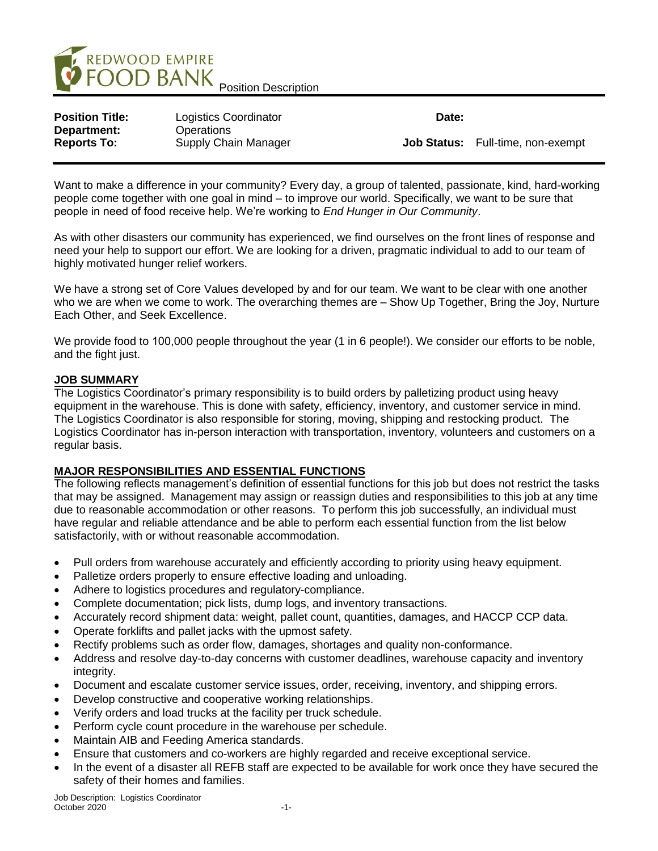

| <b>Position Title:</b>            | Logistics Coordinator              | Date: |                                          |
|-----------------------------------|------------------------------------|-------|------------------------------------------|
| Department:<br><b>Reports To:</b> | Operations<br>Supply Chain Manager |       | <b>Job Status:</b> Full-time, non-exempt |

Want to make a difference in your community? Every day, a group of talented, passionate, kind, hard-working people come together with one goal in mind – to improve our world. Specifically, we want to be sure that people in need of food receive help. We're working to *End Hunger in Our Community*.

As with other disasters our community has experienced, we find ourselves on the front lines of response and need your help to support our effort. We are looking for a driven, pragmatic individual to add to our team of highly motivated hunger relief workers.

We have a strong set of Core Values developed by and for our team. We want to be clear with one another who we are when we come to work. The overarching themes are – Show Up Together, Bring the Joy, Nurture Each Other, and Seek Excellence.

We provide food to 100,000 people throughout the year (1 in 6 people!). We consider our efforts to be noble, and the fight just.

## **JOB SUMMARY**

The Logistics Coordinator's primary responsibility is to build orders by palletizing product using heavy equipment in the warehouse. This is done with safety, efficiency, inventory, and customer service in mind. The Logistics Coordinator is also responsible for storing, moving, shipping and restocking product. The Logistics Coordinator has in-person interaction with transportation, inventory, volunteers and customers on a regular basis.

## **MAJOR RESPONSIBILITIES AND ESSENTIAL FUNCTIONS**

The following reflects management's definition of essential functions for this job but does not restrict the tasks that may be assigned. Management may assign or reassign duties and responsibilities to this job at any time due to reasonable accommodation or other reasons. To perform this job successfully, an individual must have regular and reliable attendance and be able to perform each essential function from the list below satisfactorily, with or without reasonable accommodation.

- Pull orders from warehouse accurately and efficiently according to priority using heavy equipment.
- Palletize orders properly to ensure effective loading and unloading.
- Adhere to logistics procedures and regulatory-compliance.
- Complete documentation; pick lists, dump logs, and inventory transactions.
- Accurately record shipment data: weight, pallet count, quantities, damages, and HACCP CCP data.
- Operate forklifts and pallet jacks with the upmost safety.
- Rectify problems such as order flow, damages, shortages and quality non-conformance.
- Address and resolve day-to-day concerns with customer deadlines, warehouse capacity and inventory integrity.
- Document and escalate customer service issues, order, receiving, inventory, and shipping errors.
- Develop constructive and cooperative working relationships.
- Verify orders and load trucks at the facility per truck schedule.
- Perform cycle count procedure in the warehouse per schedule.
- Maintain AIB and Feeding America standards.
- Ensure that customers and co-workers are highly regarded and receive exceptional service.
- In the event of a disaster all REFB staff are expected to be available for work once they have secured the safety of their homes and families.